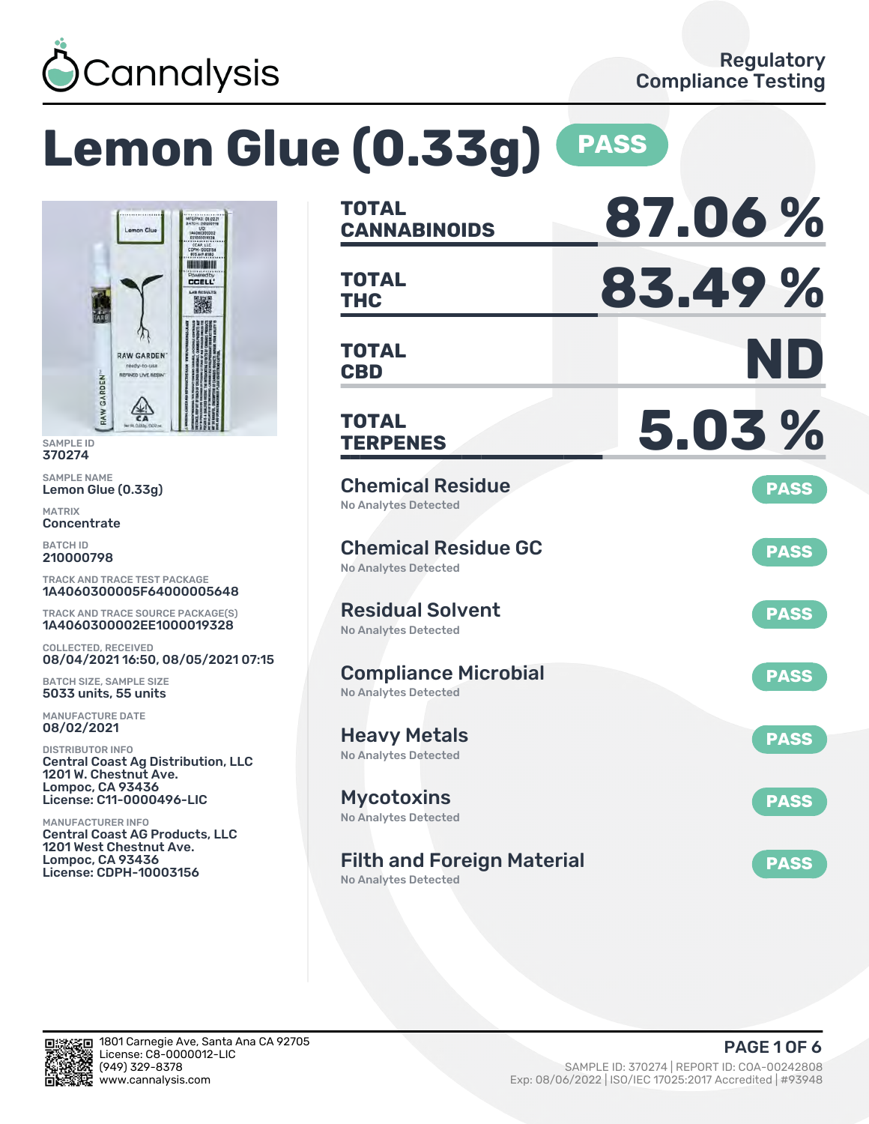

# **Lemon Glue (0.33g) PASS**



SAMPLE ID 370274

SAMPLE NAME Lemon Glue (0.33g)

MATRIX **Concentrate** 

BATCH ID 210000798

TRACK AND TRACE TEST PACKAGE 1A4060300005F64000005648

TRACK AND TRACE SOURCE PACKAGE(S) 1A4060300002EE1000019328

COLLECTED, RECEIVED 08/04/2021 16:50, 08/05/2021 07:15

BATCH SIZE, SAMPLE SIZE 5033 units, 55 units

MANUFACTURE DATE 08/02/2021

DISTRIBUTOR INFO Central Coast Ag Distribution, LLC 1201 W. Chestnut Ave. Lompoc, CA 93436 License: C11-0000496-LIC

MANUFACTURER INFO Central Coast AG Products, LLC 1201 West Chestnut Ave. Lompoc, CA 93436 License: CDPH-10003156

| TOTAL<br><b>CANNABINOIDS</b>                               | 87.06%      |
|------------------------------------------------------------|-------------|
| <b>TOTAL</b><br><b>THC</b>                                 | 83.49%      |
| TOTAL<br><b>CBD</b>                                        | ND          |
| <b>TOTAL</b><br><b>TERPENES</b>                            | 5.03%       |
| <b>Chemical Residue</b><br>No Analytes Detected            | <b>PASS</b> |
| <b>Chemical Residue GC</b><br><b>No Analytes Detected</b>  | <b>PASS</b> |
| <b>Residual Solvent</b><br><b>No Analytes Detected</b>     | <b>PASS</b> |
| <b>Compliance Microbial</b><br><b>No Analytes Detected</b> | <b>PASS</b> |
| <b>Heavy Metals</b><br><b>No Analytes Detected</b>         | <b>PASS</b> |
| <b>Mycotoxins</b><br>No Analytes Detected                  | <b>PASS</b> |
| <b>Filth and Foreign Material</b>                          | <b>PASS</b> |

No Analytes Detected

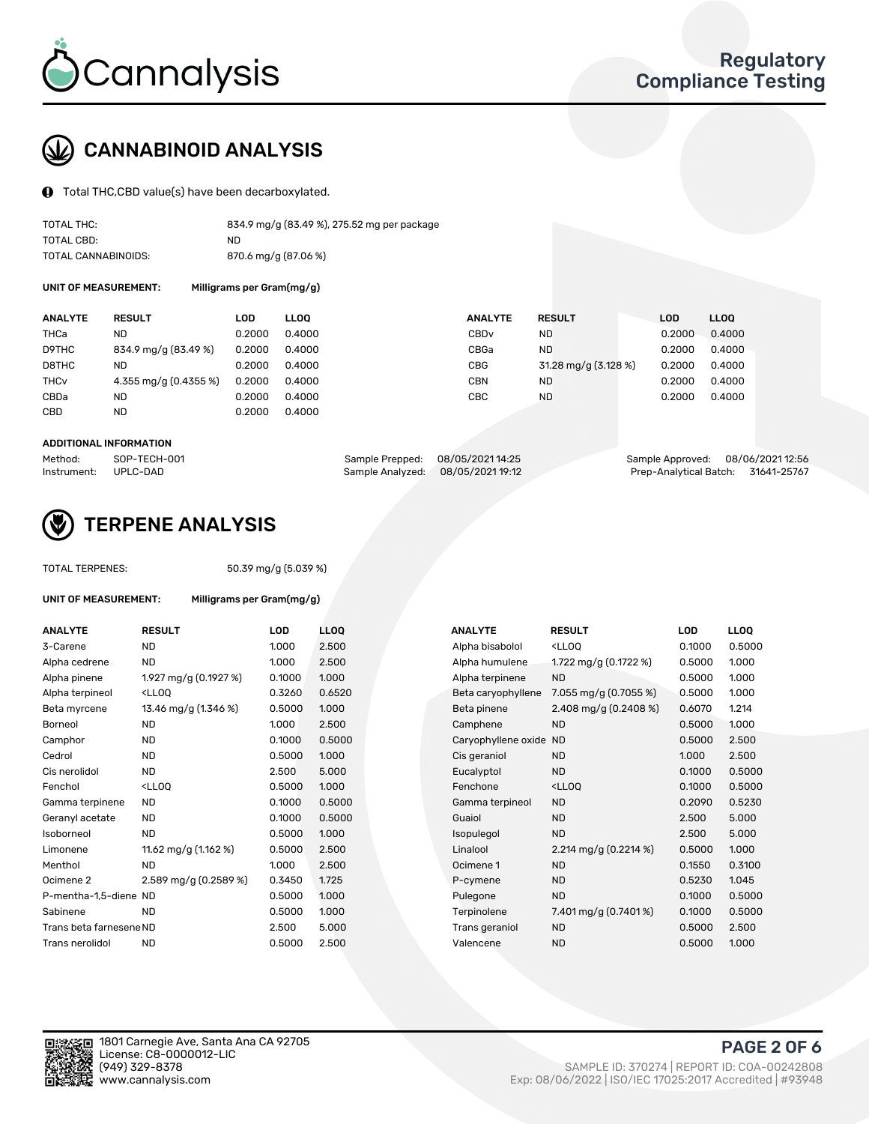

# CANNABINOID ANALYSIS

Total THC,CBD value(s) have been decarboxylated.

| TOTAL THC:          | 834.9 mg/g (83.49 %), 275.52 mg per package |
|---------------------|---------------------------------------------|
| TOTAL CBD:          | ND                                          |
| TOTAL CANNABINOIDS: | 870.6 mg/g (87.06 %)                        |

UNIT OF MEASUREMENT: Milligrams per Gram(mg/g)

| <b>ANALYTE</b>         | <b>RESULT</b>         | LOD    | <b>LLOO</b> | <b>ANALYTE</b>   | <b>RESULT</b>        | <b>LOD</b> | <b>LLOO</b> |
|------------------------|-----------------------|--------|-------------|------------------|----------------------|------------|-------------|
| THCa                   | ND                    | 0.2000 | 0.4000      | CBD <sub>v</sub> | ND                   | 0.2000     | 0.4000      |
| D9THC                  | 834.9 mg/g (83.49 %)  | 0.2000 | 0.4000      | CBGa             | <b>ND</b>            | 0.2000     | 0.4000      |
| D8THC                  | ND                    | 0.2000 | 0.4000      | <b>CBG</b>       | 31.28 mg/g (3.128 %) | 0.2000     | 0.4000      |
| <b>THC<sub>v</sub></b> | 4.355 mg/g (0.4355 %) | 0.2000 | 0.4000      | <b>CBN</b>       | ND                   | 0.2000     | 0.4000      |
| CBDa                   | ND                    | 0.2000 | 0.4000      | <b>CBC</b>       | <b>ND</b>            | 0.2000     | 0.4000      |
| CBD                    | ND                    | 0.2000 | 0.4000      |                  |                      |            |             |
|                        |                       |        |             |                  |                      |            |             |

#### ADDITIONAL INFORMATION

| Method:              | SOP-TECH-001 | Sample Prepped: 08/05/2021 14:25  | Sample Approved: 08/06/2021 12:56  |  |
|----------------------|--------------|-----------------------------------|------------------------------------|--|
| Instrument: UPLC-DAD |              | Sample Analyzed: 08/05/2021 19:12 | Prep-Analytical Batch: 31641-25767 |  |



## TERPENE ANALYSIS

| <b>TOTAL TERPENES:</b>  |                                                              | 50.39 mg/g (5.039 %) |                  |  |  |  |  |
|-------------------------|--------------------------------------------------------------|----------------------|------------------|--|--|--|--|
| UNIT OF MEASUREMENT:    | Milligrams per Gram(mg/g)                                    |                      |                  |  |  |  |  |
| <b>ANALYTE</b>          | <b>RESULT</b>                                                | <b>LOD</b>           | LL <sub>C</sub>  |  |  |  |  |
| 3-Carene                | <b>ND</b>                                                    | 1.000                | 2.5              |  |  |  |  |
| Alpha cedrene           | <b>ND</b>                                                    | 1.000                | 2.5              |  |  |  |  |
| Alpha pinene            | 1.927 mg/g (0.1927 %)                                        | 0.1000               | 1.0 <sub>1</sub> |  |  |  |  |
| Alpha terpineol         | <lloo< td=""><td>0.3260</td><td>0.6</td></lloo<>             | 0.3260               | 0.6              |  |  |  |  |
| Beta myrcene            | 13.46 mg/g (1.346 %)                                         | 0.5000               | 1.0 <sub>1</sub> |  |  |  |  |
| Borneol                 | <b>ND</b>                                                    | 1.000                | 2.5              |  |  |  |  |
| Camphor                 | <b>ND</b>                                                    | 0.1000               | 0.5              |  |  |  |  |
| Cedrol                  | <b>ND</b>                                                    | 0.5000               | 1.0 <sub>1</sub> |  |  |  |  |
| Cis nerolidol           | <b>ND</b>                                                    | 2.500                | 5.0              |  |  |  |  |
| Fenchol                 | <lloo< td=""><td>0.5000</td><td>1.0<sub>1</sub></td></lloo<> | 0.5000               | 1.0 <sub>1</sub> |  |  |  |  |
| Gamma terpinene         | <b>ND</b>                                                    | 0.1000               | 0.5              |  |  |  |  |
| Geranyl acetate         | <b>ND</b>                                                    | 0.1000               | 0.5              |  |  |  |  |
| Isoborneol              | <b>ND</b>                                                    | 0.5000               | 1.0 <sub>1</sub> |  |  |  |  |
| Limonene                | 11.62 mg/g (1.162 %)                                         | 0.5000               | 2.5              |  |  |  |  |
| Menthol                 | <b>ND</b>                                                    | 1.000                | 2.5              |  |  |  |  |
| Ocimene 2               | $2.589$ mg/g (0.2589 %)                                      | 0.3450               | 1.72             |  |  |  |  |
| P-mentha-1,5-diene ND   |                                                              | 0.5000               | 1.0 <sub>1</sub> |  |  |  |  |
| Sabinene                | <b>ND</b>                                                    | 0.5000               | 1.0(             |  |  |  |  |
| Trans beta farnesene ND |                                                              | 2.500                | 5.0              |  |  |  |  |
| Trans nerolidol         | <b>ND</b>                                                    | 0.5000               | 2.5              |  |  |  |  |
|                         |                                                              |                      |                  |  |  |  |  |

| <b>ANALYTE</b>          | <b>RESULT</b>                                                                                                                                          | <b>LOD</b> | <b>LLOQ</b> | <b>ANALYTE</b>         | <b>RESULT</b>                                       | <b>LOD</b> | <b>LLOQ</b> |
|-------------------------|--------------------------------------------------------------------------------------------------------------------------------------------------------|------------|-------------|------------------------|-----------------------------------------------------|------------|-------------|
| 3-Carene                | <b>ND</b>                                                                                                                                              | 1.000      | 2.500       | Alpha bisabolol        | <lloq< td=""><td>0.1000</td><td>0.5000</td></lloq<> | 0.1000     | 0.5000      |
| Alpha cedrene           | <b>ND</b>                                                                                                                                              | 1.000      | 2.500       | Alpha humulene         | 1.722 mg/g (0.1722 %)                               | 0.5000     | 1.000       |
| Alpha pinene            | 1.927 mg/g (0.1927 %)                                                                                                                                  | 0.1000     | 1.000       | Alpha terpinene        | <b>ND</b>                                           | 0.5000     | 1.000       |
| Alpha terpineol         | <lloq< td=""><td>0.3260</td><td>0.6520</td><td>Beta caryophyllene</td><td>7.055 mg/g <math>(0.7055\%)</math></td><td>0.5000</td><td>1.000</td></lloq<> | 0.3260     | 0.6520      | Beta caryophyllene     | 7.055 mg/g $(0.7055\%)$                             | 0.5000     | 1.000       |
| Beta myrcene            | 13.46 mg/g (1.346 %)                                                                                                                                   | 0.5000     | 1.000       | Beta pinene            | 2.408 mg/g (0.2408 %)                               | 0.6070     | 1.214       |
| Borneol                 | <b>ND</b>                                                                                                                                              | 1.000      | 2.500       | Camphene               | <b>ND</b>                                           | 0.5000     | 1.000       |
| Camphor                 | <b>ND</b>                                                                                                                                              | 0.1000     | 0.5000      | Caryophyllene oxide ND |                                                     | 0.5000     | 2.500       |
| Cedrol                  | <b>ND</b>                                                                                                                                              | 0.5000     | 1.000       | Cis geraniol           | ND.                                                 | 1.000      | 2.500       |
| Cis nerolidol           | <b>ND</b>                                                                                                                                              | 2.500      | 5.000       | Eucalyptol             | <b>ND</b>                                           | 0.1000     | 0.5000      |
| Fenchol                 | <lloq< td=""><td>0.5000</td><td>1.000</td><td>Fenchone</td><td><lloq< td=""><td>0.1000</td><td>0.5000</td></lloq<></td></lloq<>                        | 0.5000     | 1.000       | Fenchone               | <lloq< td=""><td>0.1000</td><td>0.5000</td></lloq<> | 0.1000     | 0.5000      |
| Gamma terpinene         | <b>ND</b>                                                                                                                                              | 0.1000     | 0.5000      | Gamma terpineol        | <b>ND</b>                                           | 0.2090     | 0.5230      |
| Geranyl acetate         | <b>ND</b>                                                                                                                                              | 0.1000     | 0.5000      | Guaiol                 | <b>ND</b>                                           | 2.500      | 5.000       |
| Isoborneol              | <b>ND</b>                                                                                                                                              | 0.5000     | 1.000       | Isopulegol             | <b>ND</b>                                           | 2.500      | 5.000       |
| Limonene                | 11.62 mg/g (1.162 %)                                                                                                                                   | 0.5000     | 2.500       | Linalool               | 2.214 mg/g $(0.2214\%)$                             | 0.5000     | 1.000       |
| Menthol                 | <b>ND</b>                                                                                                                                              | 1.000      | 2.500       | Ocimene 1              | <b>ND</b>                                           | 0.1550     | 0.3100      |
| Ocimene 2               | 2.589 mg/g (0.2589 %)                                                                                                                                  | 0.3450     | 1.725       | P-cymene               | <b>ND</b>                                           | 0.5230     | 1.045       |
| P-mentha-1,5-diene ND   |                                                                                                                                                        | 0.5000     | 1.000       | Pulegone               | <b>ND</b>                                           | 0.1000     | 0.5000      |
| Sabinene                | <b>ND</b>                                                                                                                                              | 0.5000     | 1.000       | Terpinolene            | 7.401 mg/g (0.7401%)                                | 0.1000     | 0.5000      |
| Trans beta farnesene ND |                                                                                                                                                        | 2.500      | 5.000       | Trans geraniol         | <b>ND</b>                                           | 0.5000     | 2.500       |
| Trans nerolidol         | <b>ND</b>                                                                                                                                              | 0.5000     | 2.500       | Valencene              | <b>ND</b>                                           | 0.5000     | 1.000       |

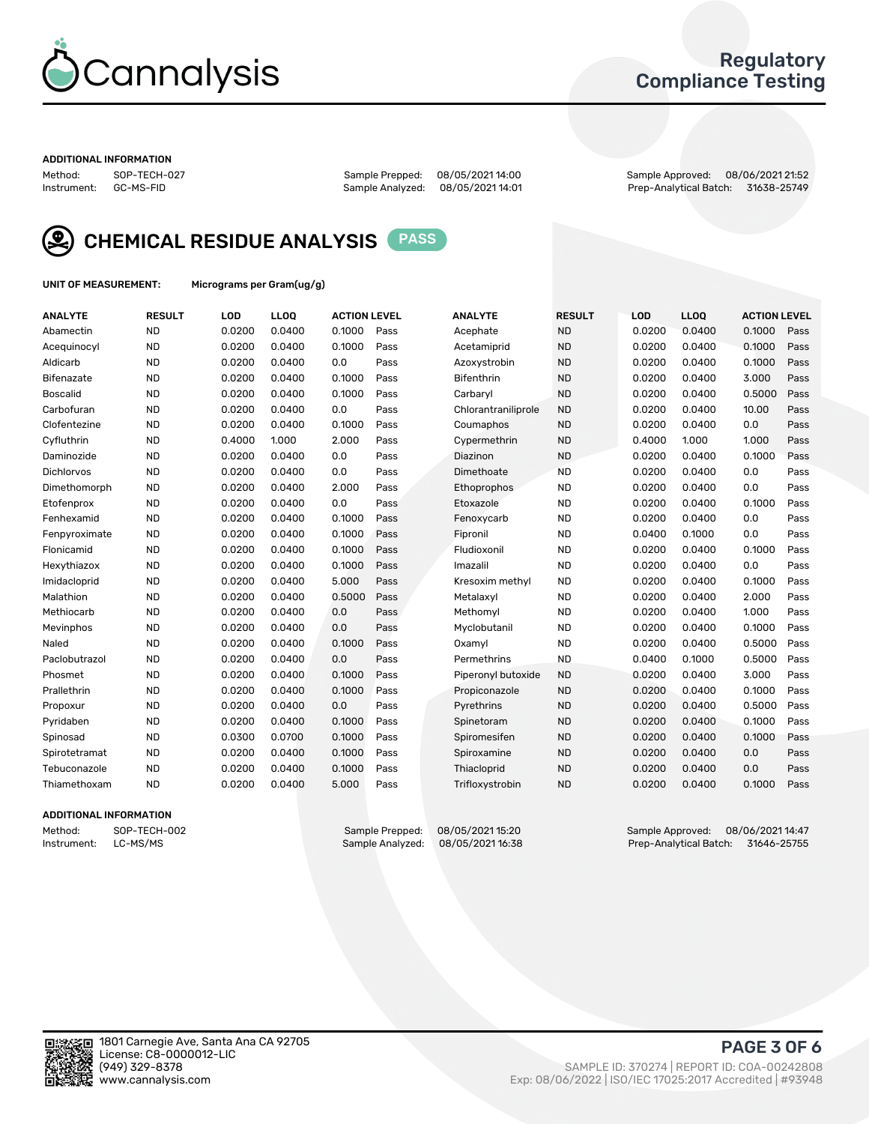

## Regulatory Compliance Testing

#### ADDITIONAL INFORMATION

| Method:     | SOP-TECH-02 |
|-------------|-------------|
| Instrument: | GC-MS-FID   |

Sample Analyzed: 08/05/2021 14:01

Method: SOP-TECH-027 Sample Prepped: 08/05/2021 14:00 Sample Approved: 08/06/2021 21:52



CHEMICAL RESIDUE ANALYSIS PASS

UNIT OF MEASUREMENT: Micrograms per Gram(ug/g)

| <b>ANALYTE</b>    | <b>RESULT</b> | LOD    | LL <sub>OO</sub> | <b>ACTION LEVEL</b> |      | <b>ANALYTE</b>      | <b>RESULT</b> | <b>LOD</b> | <b>LLOO</b> | <b>ACTION LEVEL</b> |      |
|-------------------|---------------|--------|------------------|---------------------|------|---------------------|---------------|------------|-------------|---------------------|------|
| Abamectin         | <b>ND</b>     | 0.0200 | 0.0400           | 0.1000              | Pass | Acephate            | <b>ND</b>     | 0.0200     | 0.0400      | 0.1000              | Pass |
| Acequinocyl       | <b>ND</b>     | 0.0200 | 0.0400           | 0.1000              | Pass | Acetamiprid         | <b>ND</b>     | 0.0200     | 0.0400      | 0.1000              | Pass |
| Aldicarb          | <b>ND</b>     | 0.0200 | 0.0400           | 0.0                 | Pass | Azoxystrobin        | <b>ND</b>     | 0.0200     | 0.0400      | 0.1000              | Pass |
| Bifenazate        | <b>ND</b>     | 0.0200 | 0.0400           | 0.1000              | Pass | <b>Bifenthrin</b>   | <b>ND</b>     | 0.0200     | 0.0400      | 3.000               | Pass |
| <b>Boscalid</b>   | <b>ND</b>     | 0.0200 | 0.0400           | 0.1000              | Pass | Carbaryl            | <b>ND</b>     | 0.0200     | 0.0400      | 0.5000              | Pass |
| Carbofuran        | <b>ND</b>     | 0.0200 | 0.0400           | 0.0                 | Pass | Chlorantraniliprole | <b>ND</b>     | 0.0200     | 0.0400      | 10.00               | Pass |
| Clofentezine      | <b>ND</b>     | 0.0200 | 0.0400           | 0.1000              | Pass | Coumaphos           | <b>ND</b>     | 0.0200     | 0.0400      | 0.0                 | Pass |
| Cyfluthrin        | <b>ND</b>     | 0.4000 | 1.000            | 2.000               | Pass | Cypermethrin        | <b>ND</b>     | 0.4000     | 1.000       | 1.000               | Pass |
| Daminozide        | <b>ND</b>     | 0.0200 | 0.0400           | 0.0                 | Pass | Diazinon            | <b>ND</b>     | 0.0200     | 0.0400      | 0.1000              | Pass |
| <b>Dichlorvos</b> | <b>ND</b>     | 0.0200 | 0.0400           | 0.0                 | Pass | Dimethoate          | <b>ND</b>     | 0.0200     | 0.0400      | 0.0                 | Pass |
| Dimethomorph      | <b>ND</b>     | 0.0200 | 0.0400           | 2.000               | Pass | <b>Ethoprophos</b>  | <b>ND</b>     | 0.0200     | 0.0400      | 0.0                 | Pass |
| Etofenprox        | <b>ND</b>     | 0.0200 | 0.0400           | 0.0                 | Pass | Etoxazole           | <b>ND</b>     | 0.0200     | 0.0400      | 0.1000              | Pass |
| Fenhexamid        | <b>ND</b>     | 0.0200 | 0.0400           | 0.1000              | Pass | Fenoxycarb          | <b>ND</b>     | 0.0200     | 0.0400      | 0.0                 | Pass |
| Fenpyroximate     | <b>ND</b>     | 0.0200 | 0.0400           | 0.1000              | Pass | Fipronil            | <b>ND</b>     | 0.0400     | 0.1000      | 0.0                 | Pass |
| Flonicamid        | <b>ND</b>     | 0.0200 | 0.0400           | 0.1000              | Pass | Fludioxonil         | <b>ND</b>     | 0.0200     | 0.0400      | 0.1000              | Pass |
| Hexythiazox       | <b>ND</b>     | 0.0200 | 0.0400           | 0.1000              | Pass | Imazalil            | <b>ND</b>     | 0.0200     | 0.0400      | 0.0                 | Pass |
| Imidacloprid      | <b>ND</b>     | 0.0200 | 0.0400           | 5.000               | Pass | Kresoxim methyl     | <b>ND</b>     | 0.0200     | 0.0400      | 0.1000              | Pass |
| Malathion         | <b>ND</b>     | 0.0200 | 0.0400           | 0.5000              | Pass | Metalaxyl           | <b>ND</b>     | 0.0200     | 0.0400      | 2.000               | Pass |
| Methiocarb        | <b>ND</b>     | 0.0200 | 0.0400           | 0.0                 | Pass | Methomyl            | <b>ND</b>     | 0.0200     | 0.0400      | 1.000               | Pass |
| Mevinphos         | <b>ND</b>     | 0.0200 | 0.0400           | 0.0                 | Pass | Myclobutanil        | <b>ND</b>     | 0.0200     | 0.0400      | 0.1000              | Pass |
| Naled             | <b>ND</b>     | 0.0200 | 0.0400           | 0.1000              | Pass | Oxamyl              | <b>ND</b>     | 0.0200     | 0.0400      | 0.5000              | Pass |
| Paclobutrazol     | <b>ND</b>     | 0.0200 | 0.0400           | 0.0                 | Pass | Permethrins         | <b>ND</b>     | 0.0400     | 0.1000      | 0.5000              | Pass |
| Phosmet           | <b>ND</b>     | 0.0200 | 0.0400           | 0.1000              | Pass | Piperonyl butoxide  | <b>ND</b>     | 0.0200     | 0.0400      | 3.000               | Pass |
| Prallethrin       | <b>ND</b>     | 0.0200 | 0.0400           | 0.1000              | Pass | Propiconazole       | <b>ND</b>     | 0.0200     | 0.0400      | 0.1000              | Pass |
| Propoxur          | <b>ND</b>     | 0.0200 | 0.0400           | 0.0                 | Pass | Pyrethrins          | <b>ND</b>     | 0.0200     | 0.0400      | 0.5000              | Pass |
| Pyridaben         | <b>ND</b>     | 0.0200 | 0.0400           | 0.1000              | Pass | Spinetoram          | <b>ND</b>     | 0.0200     | 0.0400      | 0.1000              | Pass |
| Spinosad          | <b>ND</b>     | 0.0300 | 0.0700           | 0.1000              | Pass | Spiromesifen        | <b>ND</b>     | 0.0200     | 0.0400      | 0.1000              | Pass |
| Spirotetramat     | <b>ND</b>     | 0.0200 | 0.0400           | 0.1000              | Pass | Spiroxamine         | <b>ND</b>     | 0.0200     | 0.0400      | 0.0                 | Pass |
| Tebuconazole      | <b>ND</b>     | 0.0200 | 0.0400           | 0.1000              | Pass | Thiacloprid         | <b>ND</b>     | 0.0200     | 0.0400      | 0.0                 | Pass |
| Thiamethoxam      | <b>ND</b>     | 0.0200 | 0.0400           | 5.000               | Pass | Trifloxystrobin     | <b>ND</b>     | 0.0200     | 0.0400      | 0.1000              | Pass |

#### ADDITIONAL INFORMATION

Method: SOP-TECH-002 Sample Prepped: 08/05/202115:20 Sample Approved: 08/06/202114:47<br>Sample Analyzed: 08/05/202116:38 Prep-Analytical Batch: 31646-25755 Prep-Analytical Batch: 31646-25755

PAGE 3 OF 6

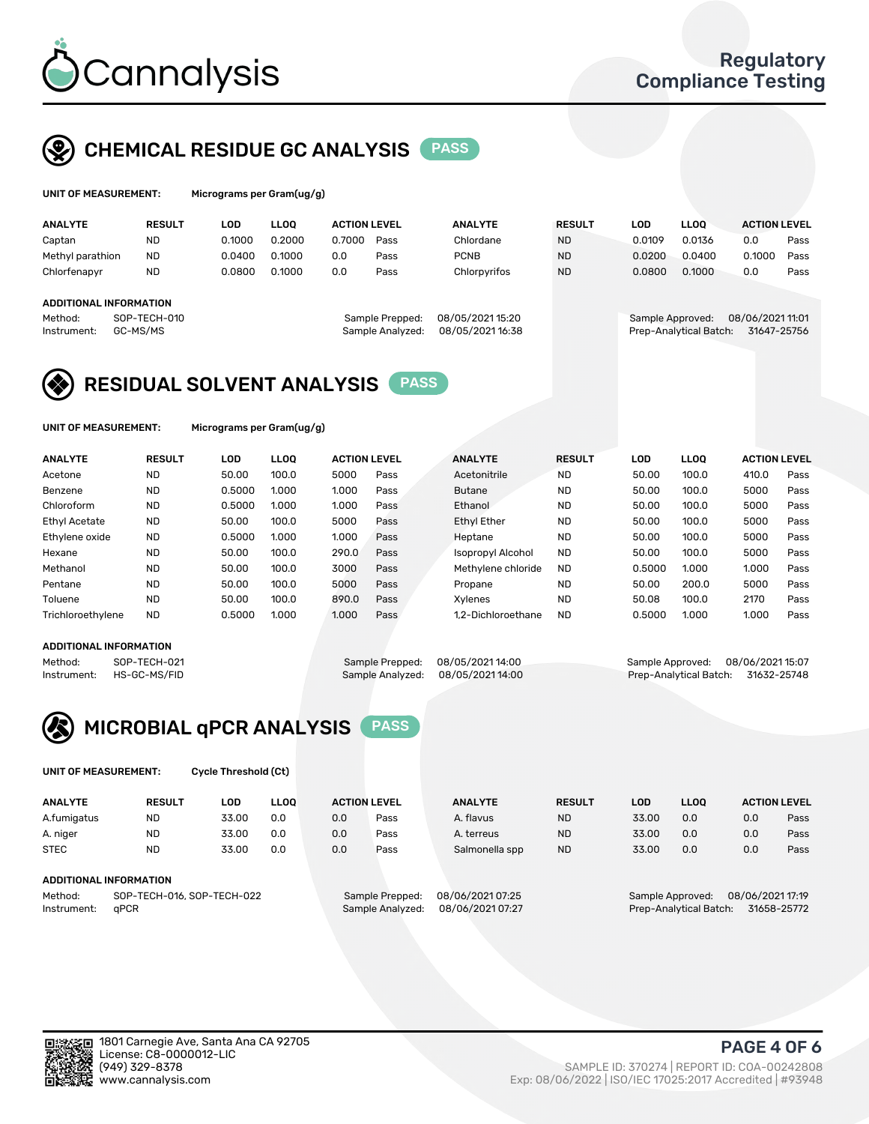

## CHEMICAL RESIDUE GC ANALYSIS PASS

| UNIT OF MEASUREMENT: | м |
|----------------------|---|
|                      |   |

licrograms per Gram(ug/g)

| <b>ANALYTE</b>                | <b>RESULT</b> | LOD    | <b>LLOO</b> | <b>ACTION LEVEL</b> |                  | <b>ANALYTE</b>   | <b>RESULT</b> | LOD    | <b>LLOO</b>            | <b>ACTION LEVEL</b> |      |
|-------------------------------|---------------|--------|-------------|---------------------|------------------|------------------|---------------|--------|------------------------|---------------------|------|
| Captan                        | <b>ND</b>     | 0.1000 | 0.2000      | 0.7000              | Pass             | Chlordane        | <b>ND</b>     | 0.0109 | 0.0136                 | 0.0                 | Pass |
| Methyl parathion              | <b>ND</b>     | 0.0400 | 0.1000      | 0.0                 | Pass             | <b>PCNB</b>      | <b>ND</b>     | 0.0200 | 0.0400                 | 0.1000              | Pass |
| Chlorfenapyr                  | <b>ND</b>     | 0.0800 | 0.1000      | 0.0                 | Pass             | Chlorpyrifos     | <b>ND</b>     | 0.0800 | 0.1000                 | 0.0                 | Pass |
|                               |               |        |             |                     |                  |                  |               |        |                        |                     |      |
| <b>ADDITIONAL INFORMATION</b> |               |        |             |                     |                  |                  |               |        |                        |                     |      |
| Method:                       | SOP-TECH-010  |        |             |                     | Sample Prepped:  | 08/05/202115:20  |               |        | Sample Approved:       | 08/06/202111:01     |      |
| Instrument:                   | GC-MS/MS      |        |             |                     | Sample Analyzed: | 08/05/2021 16:38 |               |        | Prep-Analytical Batch: | 31647-25756         |      |
|                               |               |        |             |                     |                  |                  |               |        |                        |                     |      |

## RESIDUAL SOLVENT ANALYSIS PASS

UNIT OF MEASUREMENT: Micrograms per Gram(ug/g)

| <b>ANALYTE</b>    | <b>RESULT</b> | LOD    | <b>LLOO</b> | <b>ACTION LEVEL</b> |      | <b>ANALYTE</b>           | <b>RESULT</b> | LOD    | LLOO  | <b>ACTION LEVEL</b> |      |
|-------------------|---------------|--------|-------------|---------------------|------|--------------------------|---------------|--------|-------|---------------------|------|
| Acetone           | <b>ND</b>     | 50.00  | 100.0       | 5000                | Pass | Acetonitrile             | <b>ND</b>     | 50.00  | 100.0 | 410.0               | Pass |
| Benzene           | <b>ND</b>     | 0.5000 | 1.000       | 1.000               | Pass | <b>Butane</b>            | <b>ND</b>     | 50.00  | 100.0 | 5000                | Pass |
| Chloroform        | <b>ND</b>     | 0.5000 | 1.000       | 1.000               | Pass | Ethanol                  | <b>ND</b>     | 50.00  | 100.0 | 5000                | Pass |
| Ethyl Acetate     | <b>ND</b>     | 50.00  | 100.0       | 5000                | Pass | <b>Ethyl Ether</b>       | <b>ND</b>     | 50.00  | 100.0 | 5000                | Pass |
| Ethylene oxide    | <b>ND</b>     | 0.5000 | 1.000       | 1.000               | Pass | Heptane                  | <b>ND</b>     | 50.00  | 100.0 | 5000                | Pass |
| Hexane            | <b>ND</b>     | 50.00  | 100.0       | 290.0               | Pass | <b>Isopropyl Alcohol</b> | <b>ND</b>     | 50.00  | 100.0 | 5000                | Pass |
| Methanol          | <b>ND</b>     | 50.00  | 100.0       | 3000                | Pass | Methylene chloride       | <b>ND</b>     | 0.5000 | 1.000 | 1.000               | Pass |
| Pentane           | <b>ND</b>     | 50.00  | 100.0       | 5000                | Pass | Propane                  | <b>ND</b>     | 50.00  | 200.0 | 5000                | Pass |
| Toluene           | <b>ND</b>     | 50.00  | 100.0       | 890.0               | Pass | Xvlenes                  | <b>ND</b>     | 50.08  | 100.0 | 2170                | Pass |
| Trichloroethylene | <b>ND</b>     | 0.5000 | 1.000       | 1.000               | Pass | 1.2-Dichloroethane       | <b>ND</b>     | 0.5000 | 1.000 | 1.000               | Pass |

#### ADDITIONAL INFORMATION

Method: SOP-TECH-021 Sample Prepped: 08/05/202114:00 Sample Approved: 08/06/202115:07<br>Sample Analyzed: 08/05/202114:00 Prep-Analytical Batch: 31632-25748 Prep-Analytical Batch: 31632-25748



UNIT OF MEASUREMENT: Cycle Threshold (Ct)

| <b>ANALYTE</b>                        | <b>RESULT</b>          | LOD   | <b>LLOO</b> |                 | <b>ACTION LEVEL</b> | <b>ANALYTE</b> | <b>RESULT</b> | LOD              | LL <sub>00</sub> |     | <b>ACTION LEVEL</b> |
|---------------------------------------|------------------------|-------|-------------|-----------------|---------------------|----------------|---------------|------------------|------------------|-----|---------------------|
| A.fumigatus                           | <b>ND</b>              | 33.00 | 0.0         | 0.0             | Pass                | A. flavus      | <b>ND</b>     | 33.00            | 0.0              | 0.0 | Pass                |
| A. niger                              | <b>ND</b>              | 33.00 | 0.0         | 0.0             | Pass                | A. terreus     | <b>ND</b>     | 33.00            | 0.0              | 0.0 | Pass                |
| <b>STEC</b>                           | <b>ND</b>              | 33.00 | 0.0         | 0.0             | Pass                | Salmonella spp | <b>ND</b>     | 33.00            | 0.0              | 0.0 | Pass                |
|                                       | ADDITIONAL INFORMATION |       |             |                 |                     |                |               |                  |                  |     |                     |
| SOP-TECH-016, SOP-TECH-022<br>Method: |                        |       |             | Sample Prepped: | 08/06/2021 07:25    |                |               | Sample Approved: | 08/06/2021 17:19 |     |                     |

Instrument: qPCR Sample Analyzed: 08/06/2021 07:27 Prep-Analytical Batch: 31658-25772

PAGE 4 OF 6

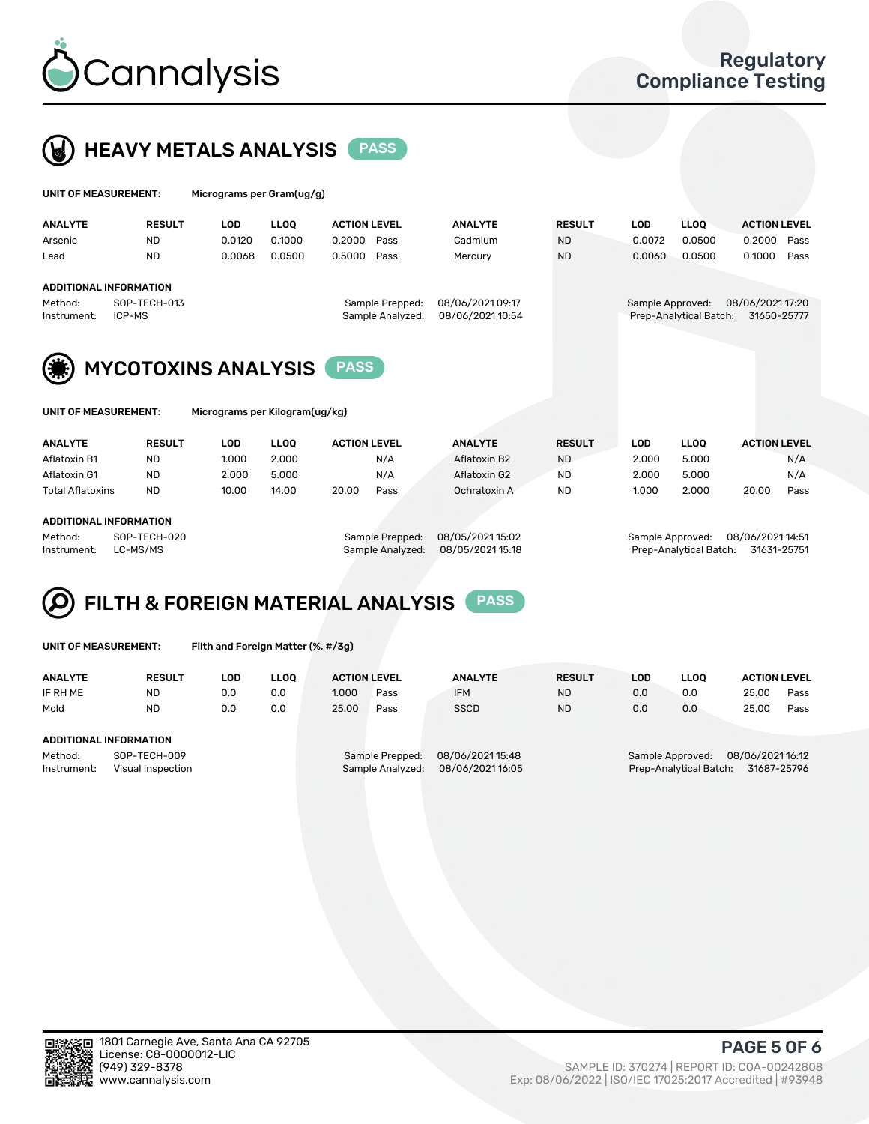



| UNIT OF MEASUREMENT: |                        | Micrograms per Gram(ug/g) |             |                     |                  |               |                  |                        |                     |      |  |
|----------------------|------------------------|---------------------------|-------------|---------------------|------------------|---------------|------------------|------------------------|---------------------|------|--|
| <b>ANALYTE</b>       | <b>RESULT</b>          | LOD                       | <b>LLOO</b> | <b>ACTION LEVEL</b> | <b>ANALYTE</b>   | <b>RESULT</b> | LOD              | <b>LLOO</b>            | <b>ACTION LEVEL</b> |      |  |
| Arsenic              | <b>ND</b>              | 0.0120                    | 0.1000      | 0.2000<br>Pass      | Cadmium          | <b>ND</b>     | 0.0072           | 0.0500                 | 0.2000              | Pass |  |
| Lead                 | <b>ND</b>              | 0.0068                    | 0.0500      | 0.5000<br>Pass      | Mercury          | <b>ND</b>     | 0.0060           | 0.0500                 | 0.1000              | Pass |  |
|                      | ADDITIONAL INFORMATION |                           |             |                     |                  |               |                  |                        |                     |      |  |
| Method:              | SOP-TECH-013           |                           |             | Sample Prepped:     | 08/06/2021 09:17 |               | Sample Approved: |                        | 08/06/2021 17:20    |      |  |
| Instrument:          | ICP-MS                 |                           |             | Sample Analyzed:    | 08/06/2021 10:54 |               |                  | Prep-Analytical Batch: | 31650-25777         |      |  |





MYCOTOXINS ANALYSIS **PASS** 

T: Micrograms per Kilogram(ug/kg)

| <b>ANALYTE</b>          | <b>RESULT</b> | LOD   | <b>LLOO</b> | <b>ACTION LEVEL</b> |      | <b>ANALYTE</b> | <b>RESULT</b> | LOD   | <b>LLOO</b> |       | <b>ACTION LEVEL</b> |
|-------------------------|---------------|-------|-------------|---------------------|------|----------------|---------------|-------|-------------|-------|---------------------|
| Aflatoxin B1            | <b>ND</b>     | 1.000 | 2.000       |                     | N/A  | Aflatoxin B2   | <b>ND</b>     | 2.000 | 5.000       |       | N/A                 |
| Aflatoxin G1            | <b>ND</b>     | 2.000 | 5.000       |                     | N/A  | Aflatoxin G2   | <b>ND</b>     | 2.000 | 5.000       |       | N/A                 |
| <b>Total Aflatoxins</b> | <b>ND</b>     | 10.00 | 14.00       | 20.00               | Pass | Ochratoxin A   | <b>ND</b>     | 1.000 | 2.000       | 20.00 | Pass                |
|                         |               |       |             |                     |      |                |               |       |             |       |                     |

#### ADDITIONAL INFORMATION

Method: SOP-TECH-020 Sample Prepped: 08/05/2021 15:02 Sample Approved: 08/06/2021 14:51 Instrument: LC-MS/MS Sample Analyzed: 08/05/2021 15:18 Prep-Analytical Batch: 31631-25751



|  |  | UNIT OF MEASUREMENT: |
|--|--|----------------------|

Filth and Foreign Matter (%, #/3g)

| <b>ANALYTE</b>                                              | <b>RESULT</b> | LOD | <b>LLOO</b> | <b>ACTION LEVEL</b> |                                     | <b>ANALYTE</b>                       | <b>RESULT</b> | <b>LOD</b> | <b>LLOO</b>                                | <b>ACTION LEVEL</b>            |      |
|-------------------------------------------------------------|---------------|-----|-------------|---------------------|-------------------------------------|--------------------------------------|---------------|------------|--------------------------------------------|--------------------------------|------|
| IF RH ME                                                    | <b>ND</b>     | 0.0 | 0.0         | 1.000               | Pass                                | <b>IFM</b>                           | <b>ND</b>     | 0.0        | 0.0                                        | 25.00                          | Pass |
| Mold                                                        | <b>ND</b>     | 0.0 | 0.0         | 25.00               | Pass                                | <b>SSCD</b>                          | <b>ND</b>     | 0.0        | 0.0                                        | 25.00                          | Pass |
| ADDITIONAL INFORMATION                                      |               |     |             |                     |                                     |                                      |               |            |                                            |                                |      |
| Method:<br>SOP-TECH-009<br>Instrument:<br>Visual Inspection |               |     |             |                     | Sample Prepped:<br>Sample Analyzed: | 08/06/2021 15:48<br>08/06/2021 16:05 |               |            | Sample Approved:<br>Prep-Analytical Batch: | 08/06/202116:12<br>31687-25796 |      |



PAGE 5 OF 6